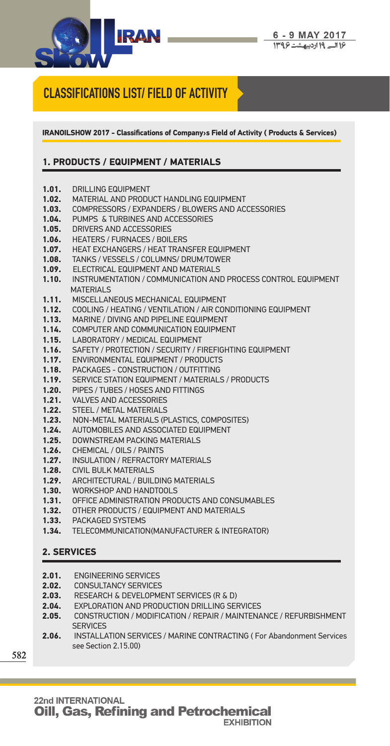

## **CLASSIFICATIONS LIST/ FIELD OF ACTIVITY**

**IRANOILSHOW 2017 - Classifications of Company›s Field of Activity ( Products & Services)**

## **1. PRODUCTS / EQUIPMENT / MATERIALS**

- **1.01.** DRILLING EQUIPMENT<br>**1.02.** MATERIAL AND PRODU
- **1.02.** MATERIAL AND PRODUCT HANDLING EQUIPMENT
- **1.03.** COMPRESSORS / EXPANDERS / BLOWERS AND ACCESSORIES
- **1.04.** PUMPS & TURBINES AND ACCESSORIES<br>**1.05.** DRIVERS AND ACCESSORIES
- **1.05.** DRIVERS AND ACCESSORIES
- **1.06.** HEATERS / FURNACES / BOILERS<br>**1.07.** HEAT EXCHANGERS / HEAT TRAN
- **1.07.** HEAT EXCHANGERS / HEAT TRANSFER EQUIPMENT
- **1.08.** TANKS / VESSELS / COLUMNS/ DRUM/TOWER
- **1.09. ELECTRICAL EQUIPMENT AND MATERIALS**<br>**1.10.** INSTRUMENTATION / COMMUNICATION AND
- **1.10.** INSTRUMENTATION / COMMUNICATION AND PROCESS CONTROL EQUIPMENT MATERIALS
- **1.11.** MISCELLANEOUS MECHANICAL EQUIPMENT
- **1.12.** COOLING / HEATING / VENTILATION / AIR CONDITIONING EQUIPMENT
- **1.13.** MARINE / DIVING AND PIPELINE EQUIPMENT
- **1.14.** COMPUTER AND COMMUNICATION EQUIPMENT
- **1.15.** LABORATORY / MEDICAL EQUIPMENT
- **1.16.** SAFETY / PROTECTION / SECURITY / FIREFIGHTING EQUIPMENT
- **1.17.** ENVIRONMENTAL EQUIPMENT / PRODUCTS
- **1.18.** PACKAGES CONSTRUCTION / OUTFITTING
- **1.19.** SERVICE STATION EQUIPMENT / MATERIALS / PRODUCTS
- **1.20.** PIPES / TUBES / HOSES AND FITTINGS<br>**1.21.** VALVES AND ACCESSORIES
- **1.21.** VALVES AND ACCESSORIES
- **1.22.** STEEL / METAL MATERIALS
- **1.23.** NON-METAL MATERIALS (PLASTICS, COMPOSITES)
- **1.24.** AUTOMOBILES AND ASSOCIATED EQUIPMENT
- **1.25.** DOWNSTREAM PACKING MATERIALS
- **1.26.** CHEMICAL / OILS / PAINTS<br>**1.27.** INSULATION / REFRACTOR
- **1.27.** INSULATION / REFRACTORY MATERIALS
- **1.28.** CIVIL BULK MATERIALS
- **1.29.** ARCHITECTURAL / BUILDING MATERIALS
- **1.30.** WORKSHOP AND HANDTOOLS
- **1.31.** OFFICE ADMINISTRATION PRODUCTS AND CONSUMABLES
- **1.32.** OTHER PRODUCTS / EQUIPMENT AND MATERIALS
- **1.33.** PACKAGED SYSTEMS
- **1.34.** TELECOMMUNICATION(MANUFACTURER & INTEGRATOR)

## **2. SERVICES**

- **2.01.** ENGINEERING SERVICES **2.02.** CONSULTANCY SERVICES **2.03.** RESEARCH & DEVELOPMENT SERVICES (R & D) **2.04.** EXPLORATION AND PRODUCTION DRILLING SERVICES **2.05.** CONSTRUCTION / MODIFICATION / REPAIR / MAINTENANCE / REFURBISHMENT **SERVICES**
- **2.06.** INSTALLATION SERVICES / MARINE CONTRACTING ( For Abandonment Services see Section 2.15.00)

**582**